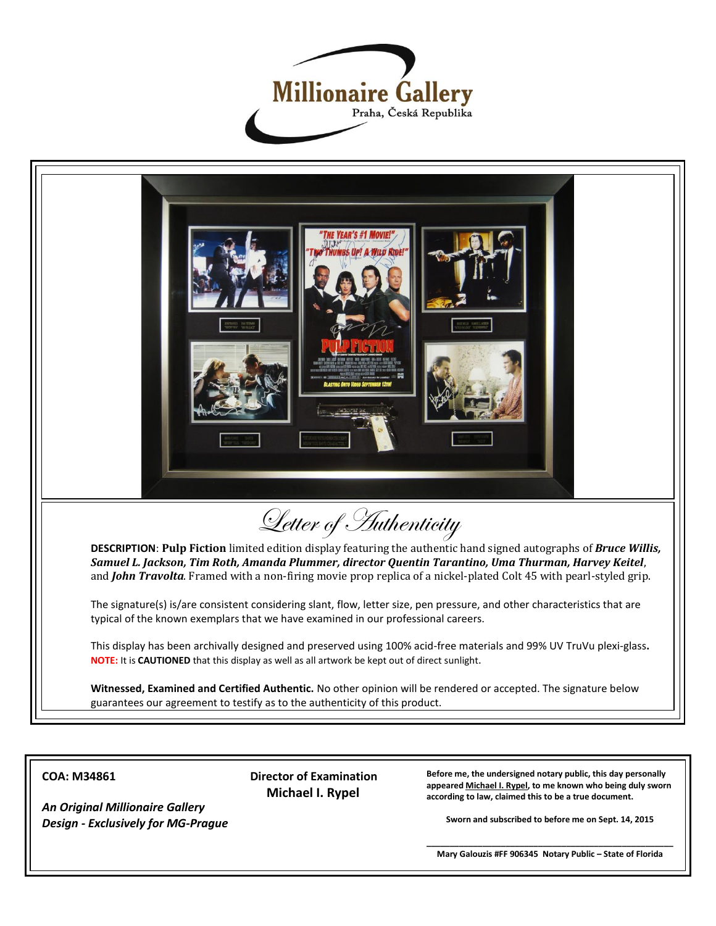



**COA: M34861**

*An Original Millionaire Gallery Design - Exclusively for MG-Prague*  **Director of Examination Michael I. Rypel**

**Before me, the undersigned notary public, this day personally appeared Michael I. Rypel, to me known who being duly sworn according to law, claimed this to be a true document.**

**Sworn and subscribed to before me on Sept. 14, 2015**

**\_\_\_\_\_\_\_\_\_\_\_\_\_\_\_\_\_\_\_\_\_\_\_\_\_\_\_\_\_\_\_\_\_\_\_\_\_\_\_\_\_\_\_\_\_\_\_\_\_\_\_\_\_ Mary Galouzis #FF 906345 Notary Public – State of Florida**